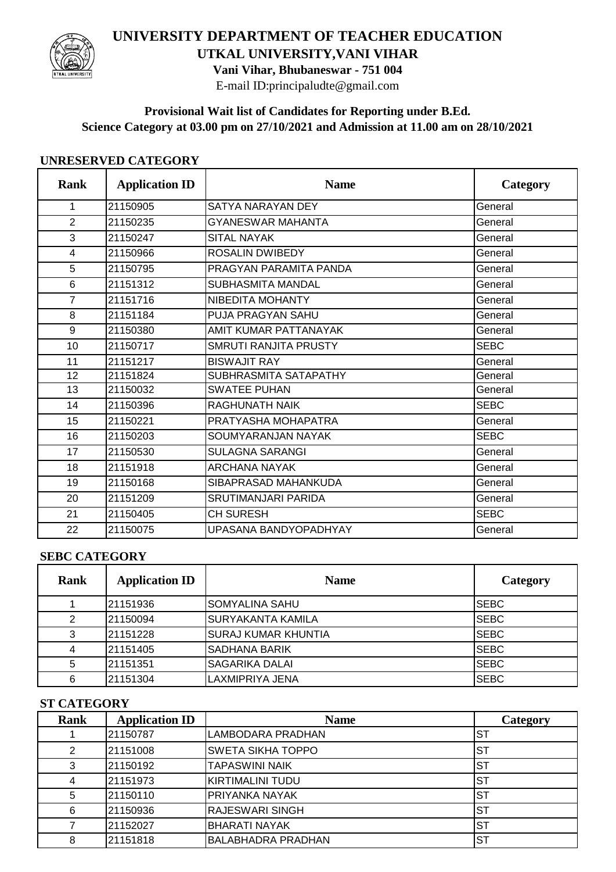

# **UNIVERSITY DEPARTMENT OF TEACHER EDUCATION UTKAL UNIVERSITY,VANI VIHAR**

**Vani Vihar, Bhubaneswar - 751 004**

E-mail ID:principaludte@gmail.com

## **Provisional Wait list of Candidates for Reporting under B.Ed. Science Category at 03.00 pm on 27/10/2021 and Admission at 11.00 am on 28/10/2021**

#### **UNRESERVED CATEGORY**

| <b>Rank</b>    | <b>Application ID</b> | <b>Name</b>                  | Category    |
|----------------|-----------------------|------------------------------|-------------|
| $\mathbf{1}$   | 21150905              | SATYA NARAYAN DEY            | General     |
| $\overline{2}$ | 21150235              | <b>GYANESWAR MAHANTA</b>     | General     |
| 3              | 21150247              | <b>SITAL NAYAK</b>           | General     |
| $\overline{4}$ | 21150966              | <b>ROSALIN DWIBEDY</b>       | General     |
| 5              | 21150795              | PRAGYAN PARAMITA PANDA       | General     |
| 6              | 21151312              | <b>SUBHASMITA MANDAL</b>     | General     |
| $\overline{7}$ | 21151716              | NIBEDITA MOHANTY             | General     |
| 8              | 21151184              | <b>PUJA PRAGYAN SAHU</b>     | General     |
| 9              | 21150380              | AMIT KUMAR PATTANAYAK        | General     |
| 10             | 21150717              | <b>SMRUTI RANJITA PRUSTY</b> | <b>SEBC</b> |
| 11             | 21151217              | <b>BISWAJIT RAY</b>          | General     |
| 12             | 21151824              | SUBHRASMITA SATAPATHY        | General     |
| 13             | 21150032              | <b>SWATEE PUHAN</b>          | General     |
| 14             | 21150396              | RAGHUNATH NAIK               | <b>SEBC</b> |
| 15             | 21150221              | PRATYASHA MOHAPATRA          | General     |
| 16             | 21150203              | SOUMYARANJAN NAYAK           | <b>SEBC</b> |
| 17             | 21150530              | <b>SULAGNA SARANGI</b>       | General     |
| 18             | 21151918              | <b>ARCHANA NAYAK</b>         | General     |
| 19             | 21150168              | SIBAPRASAD MAHANKUDA         | General     |
| 20             | 21151209              | <b>SRUTIMANJARI PARIDA</b>   | General     |
| 21             | 21150405              | <b>CH SURESH</b>             | <b>SEBC</b> |
| 22             | 21150075              | UPASANA BANDYOPADHYAY        | General     |

### **SEBC CATEGORY**

| Rank | <b>Application ID</b> | <b>Name</b>                | Category    |
|------|-----------------------|----------------------------|-------------|
|      | 21151936              | <b>SOMYALINA SAHU</b>      | <b>SEBC</b> |
| 2    | 21150094              | <b>SURYAKANTA KAMILA</b>   | <b>SEBC</b> |
| 3    | 21151228              | <b>SURAJ KUMAR KHUNTIA</b> | <b>SEBC</b> |
| 4    | 21151405              | ISADHANA BARIK             | <b>SEBC</b> |
| 5    | 21151351              | <b>SAGARIKA DALAI</b>      | <b>SEBC</b> |
| 6    | 21151304              | LAXMIPRIYA JENA            | <b>SEBC</b> |

### **ST CATEGORY**

| <b>Rank</b> | <b>Application ID</b> | <b>Name</b>               | Category  |
|-------------|-----------------------|---------------------------|-----------|
|             | 21150787              | <b>LAMBODARA PRADHAN</b>  | ST        |
| 2           | 21151008              | <b>SWETA SIKHA TOPPO</b>  | ST        |
| 3           | 21150192              | <b>TAPASWINI NAIK</b>     | <b>ST</b> |
| 4           | 21151973              | KIRTIMALINI TUDU          | <b>ST</b> |
| 5           | 21150110              | PRIYANKA NAYAK            | <b>ST</b> |
| 6           | 21150936              | <b>RAJESWARI SINGH</b>    | <b>ST</b> |
|             | 21152027              | <b>BHARATI NAYAK</b>      | <b>ST</b> |
| 8           | 21151818              | <b>BALABHADRA PRADHAN</b> | ST        |